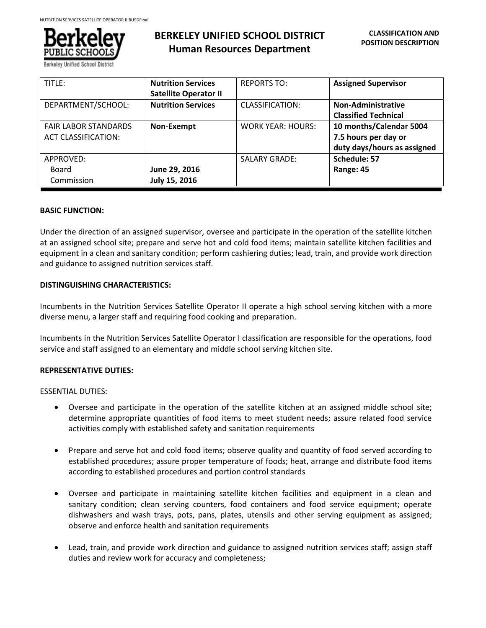

# **BERKELEY UNIFIED SCHOOL DISTRICT Human Resources Department**

| TITLE:                      | <b>Nutrition Services</b>    | <b>REPORTS TO:</b>       | <b>Assigned Supervisor</b>  |
|-----------------------------|------------------------------|--------------------------|-----------------------------|
|                             | <b>Satellite Operator II</b> |                          |                             |
| DEPARTMENT/SCHOOL:          | <b>Nutrition Services</b>    | CLASSIFICATION:          | Non-Administrative          |
|                             |                              |                          | <b>Classified Technical</b> |
| <b>FAIR LABOR STANDARDS</b> | Non-Exempt                   | <b>WORK YEAR: HOURS:</b> | 10 months/Calendar 5004     |
| <b>ACT CLASSIFICATION:</b>  |                              |                          | 7.5 hours per day or        |
|                             |                              |                          | duty days/hours as assigned |
| APPROVED:                   |                              | <b>SALARY GRADE:</b>     | Schedule: 57                |
| Board                       | June 29, 2016                |                          | Range: 45                   |
| Commission                  | July 15, 2016                |                          |                             |

### **BASIC FUNCTION:**

Under the direction of an assigned supervisor, oversee and participate in the operation of the satellite kitchen at an assigned school site; prepare and serve hot and cold food items; maintain satellite kitchen facilities and equipment in a clean and sanitary condition; perform cashiering duties; lead, train, and provide work direction and guidance to assigned nutrition services staff.

### **DISTINGUISHING CHARACTERISTICS:**

Incumbents in the Nutrition Services Satellite Operator II operate a high school serving kitchen with a more diverse menu, a larger staff and requiring food cooking and preparation.

Incumbents in the Nutrition Services Satellite Operator I classification are responsible for the operations, food service and staff assigned to an elementary and middle school serving kitchen site.

## **REPRESENTATIVE DUTIES:**

ESSENTIAL DUTIES:

- Oversee and participate in the operation of the satellite kitchen at an assigned middle school site; determine appropriate quantities of food items to meet student needs; assure related food service activities comply with established safety and sanitation requirements
- Prepare and serve hot and cold food items; observe quality and quantity of food served according to established procedures; assure proper temperature of foods; heat, arrange and distribute food items according to established procedures and portion control standards
- Oversee and participate in maintaining satellite kitchen facilities and equipment in a clean and sanitary condition; clean serving counters, food containers and food service equipment; operate dishwashers and wash trays, pots, pans, plates, utensils and other serving equipment as assigned; observe and enforce health and sanitation requirements
- Lead, train, and provide work direction and guidance to assigned nutrition services staff; assign staff duties and review work for accuracy and completeness;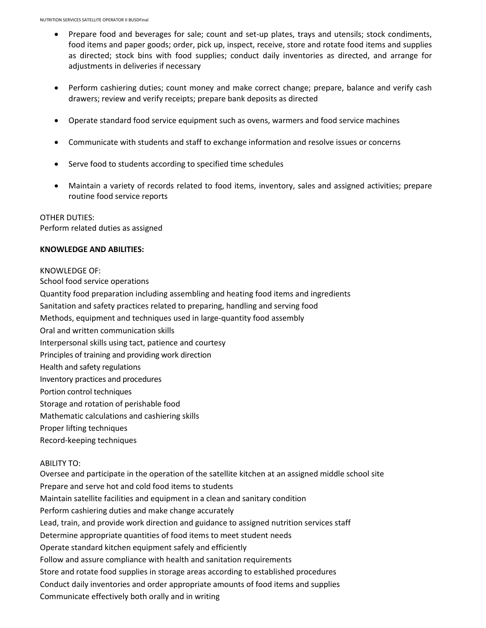- Prepare food and beverages for sale; count and set-up plates, trays and utensils; stock condiments, food items and paper goods; order, pick up, inspect, receive, store and rotate food items and supplies as directed; stock bins with food supplies; conduct daily inventories as directed, and arrange for adjustments in deliveries if necessary
- Perform cashiering duties; count money and make correct change; prepare, balance and verify cash drawers; review and verify receipts; prepare bank deposits as directed
- Operate standard food service equipment such as ovens, warmers and food service machines
- Communicate with students and staff to exchange information and resolve issues or concerns
- Serve food to students according to specified time schedules
- Maintain a variety of records related to food items, inventory, sales and assigned activities; prepare routine food service reports

OTHER DUTIES: Perform related duties as assigned

### **KNOWLEDGE AND ABILITIES:**

### KNOWLEDGE OF:

School food service operations Quantity food preparation including assembling and heating food items and ingredients Sanitation and safety practices related to preparing, handling and serving food Methods, equipment and techniques used in large-quantity food assembly Oral and written communication skills Interpersonal skills using tact, patience and courtesy Principles of training and providing work direction Health and safety regulations Inventory practices and procedures Portion control techniques Storage and rotation of perishable food Mathematic calculations and cashiering skills Proper lifting techniques Record-keeping techniques

## ABILITY TO:

Oversee and participate in the operation of the satellite kitchen at an assigned middle school site Prepare and serve hot and cold food items to students Maintain satellite facilities and equipment in a clean and sanitary condition Perform cashiering duties and make change accurately Lead, train, and provide work direction and guidance to assigned nutrition services staff Determine appropriate quantities of food items to meet student needs Operate standard kitchen equipment safely and efficiently Follow and assure compliance with health and sanitation requirements Store and rotate food supplies in storage areas according to established procedures Conduct daily inventories and order appropriate amounts of food items and supplies Communicate effectively both orally and in writing